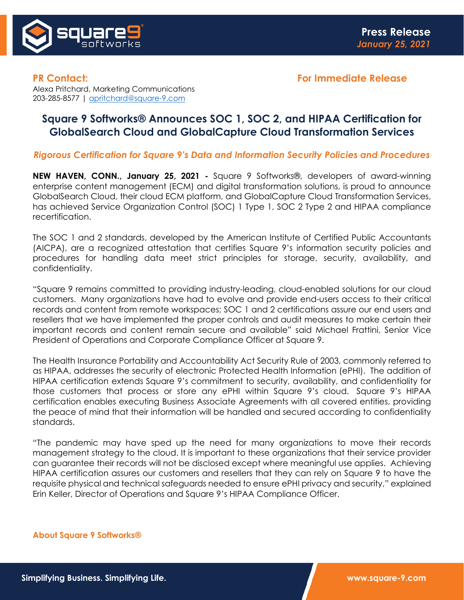

**PR Contact: For Immediate Release**

Alexa Pritchard, Marketing Communications 203-285-8577 | [apritchard@square-9.com](mailto:apritchard@square-9.com)

## **Square 9 Softworks® Announces SOC 1, SOC 2, and HIPAA Certification for GlobalSearch Cloud and GlobalCapture Cloud Transformation Services**

*Rigorous Certification for Square 9's Data and Information Security Policies and Procedures*

**NEW HAVEN, CONN., January 25, 2021 -** Square 9 Softworks®, developers of award-winning enterprise content management (ECM) and digital transformation solutions, is proud to announce GlobalSearch Cloud, their cloud ECM platform, and GlobalCapture Cloud Transformation Services, has achieved Service Organization Control (SOC) 1 Type 1, SOC 2 Type 2 and HIPAA compliance recertification.

The SOC 1 and 2 standards, developed by the American Institute of Certified Public Accountants (AICPA), are a recognized attestation that certifies Square 9's information security policies and procedures for handling data meet strict principles for storage, security, availability, and confidentiality.

"Square 9 remains committed to providing industry-leading, cloud-enabled solutions for our cloud customers. Many organizations have had to evolve and provide end-users access to their critical records and content from remote workspaces; SOC 1 and 2 certifications assure our end users and resellers that we have implemented the proper controls and audit measures to make certain their important records and content remain secure and available" said Michael Frattini, Senior Vice President of Operations and Corporate Compliance Officer at Square 9.

The Health Insurance Portability and Accountability Act Security Rule of 2003, commonly referred to as HIPAA, addresses the security of electronic Protected Health Information (ePHI). The addition of HIPAA certification extends Square 9's commitment to security, availability, and confidentiality for those customers that process or store any ePHI within Square 9's cloud. Square 9's HIPAA certification enables executing Business Associate Agreements with all covered entities, providing the peace of mind that their information will be handled and secured according to confidentiality standards.

"The pandemic may have sped up the need for many organizations to move their records management strategy to the cloud. It is important to these organizations that their service provider can guarantee their records will not be disclosed except where meaningful use applies. Achieving HIPAA certification assures our customers and resellers that they can rely on Square 9 to have the requisite physical and technical safeguards needed to ensure ePHI privacy and security," explained Erin Keller, Director of Operations and Square 9's HIPAA Compliance Officer.

## **About Square 9 Softworks®**